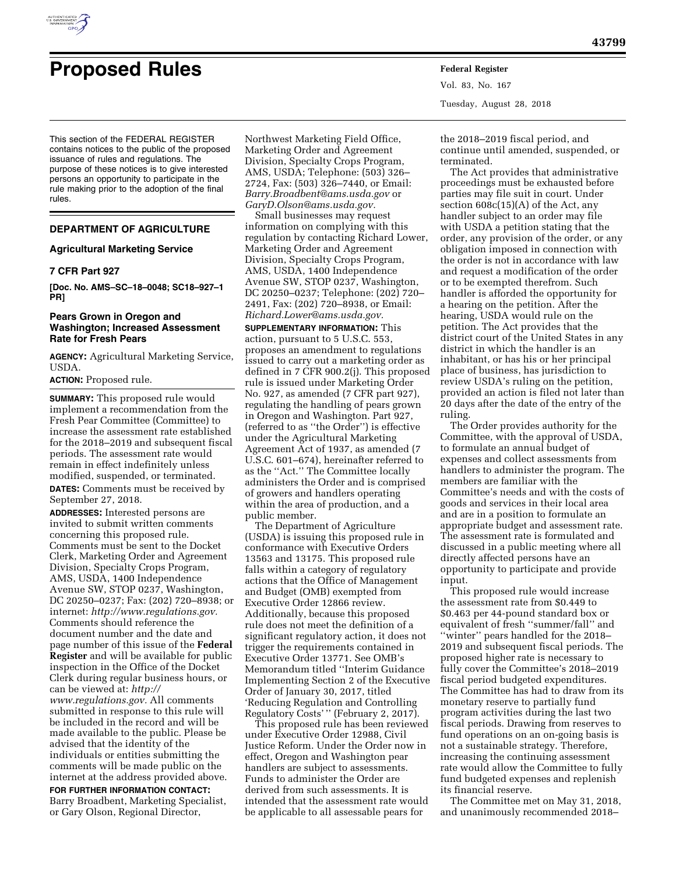

# **Proposed Rules Federal Register**

This section of the FEDERAL REGISTER contains notices to the public of the proposed issuance of rules and regulations. The purpose of these notices is to give interested persons an opportunity to participate in the rule making prior to the adoption of the final rules.

# **DEPARTMENT OF AGRICULTURE**

#### **Agricultural Marketing Service**

# **7 CFR Part 927**

**[Doc. No. AMS–SC–18–0048; SC18–927–1 PR]** 

# **Pears Grown in Oregon and Washington; Increased Assessment Rate for Fresh Pears**

**AGENCY:** Agricultural Marketing Service, USDA.

# **ACTION:** Proposed rule.

**SUMMARY:** This proposed rule would implement a recommendation from the Fresh Pear Committee (Committee) to increase the assessment rate established for the 2018–2019 and subsequent fiscal periods. The assessment rate would remain in effect indefinitely unless modified, suspended, or terminated. **DATES:** Comments must be received by September 27, 2018.

**ADDRESSES:** Interested persons are invited to submit written comments concerning this proposed rule. Comments must be sent to the Docket Clerk, Marketing Order and Agreement Division, Specialty Crops Program, AMS, USDA, 1400 Independence Avenue SW, STOP 0237, Washington, DC 20250–0237; Fax: (202) 720–8938; or internet: *[http://www.regulations.gov.](http://www.regulations.gov)*  Comments should reference the document number and the date and page number of this issue of the **Federal Register** and will be available for public inspection in the Office of the Docket Clerk during regular business hours, or can be viewed at: *[http://](http://www.regulations.gov) [www.regulations.gov.](http://www.regulations.gov)* All comments submitted in response to this rule will be included in the record and will be made available to the public. Please be advised that the identity of the individuals or entities submitting the comments will be made public on the internet at the address provided above.

**FOR FURTHER INFORMATION CONTACT:**  Barry Broadbent, Marketing Specialist, or Gary Olson, Regional Director,

Northwest Marketing Field Office, Marketing Order and Agreement Division, Specialty Crops Program, AMS, USDA; Telephone: (503) 326– 2724, Fax: (503) 326–7440, or Email: *[Barry.Broadbent@ams.usda.gov](mailto:Barry.Broadbent@ams.usda.gov)* or *[GaryD.Olson@ams.usda.gov.](mailto:GaryD.Olson@ams.usda.gov)* 

Small businesses may request information on complying with this regulation by contacting Richard Lower, Marketing Order and Agreement Division, Specialty Crops Program, AMS, USDA, 1400 Independence Avenue SW, STOP 0237, Washington, DC 20250–0237; Telephone: (202) 720– 2491, Fax: (202) 720–8938, or Email: *[Richard.Lower@ams.usda.gov.](mailto:Richard.Lower@ams.usda.gov)* 

**SUPPLEMENTARY INFORMATION:** This action, pursuant to 5 U.S.C. 553, proposes an amendment to regulations issued to carry out a marketing order as defined in 7 CFR 900.2(j). This proposed rule is issued under Marketing Order No. 927, as amended (7 CFR part 927), regulating the handling of pears grown in Oregon and Washington. Part 927, (referred to as ''the Order'') is effective under the Agricultural Marketing Agreement Act of 1937, as amended (7 U.S.C. 601–674), hereinafter referred to as the ''Act.'' The Committee locally administers the Order and is comprised of growers and handlers operating within the area of production, and a public member.

The Department of Agriculture (USDA) is issuing this proposed rule in conformance with Executive Orders 13563 and 13175. This proposed rule falls within a category of regulatory actions that the Office of Management and Budget (OMB) exempted from Executive Order 12866 review. Additionally, because this proposed rule does not meet the definition of a significant regulatory action, it does not trigger the requirements contained in Executive Order 13771. See OMB's Memorandum titled ''Interim Guidance Implementing Section 2 of the Executive Order of January 30, 2017, titled 'Reducing Regulation and Controlling Regulatory Costs' '' (February 2, 2017).

This proposed rule has been reviewed under Executive Order 12988, Civil Justice Reform. Under the Order now in effect, Oregon and Washington pear handlers are subject to assessments. Funds to administer the Order are derived from such assessments. It is intended that the assessment rate would be applicable to all assessable pears for

Vol. 83, No. 167 Tuesday, August 28, 2018

the 2018–2019 fiscal period, and continue until amended, suspended, or terminated.

The Act provides that administrative proceedings must be exhausted before parties may file suit in court. Under section 608c(15)(A) of the Act, any handler subject to an order may file with USDA a petition stating that the order, any provision of the order, or any obligation imposed in connection with the order is not in accordance with law and request a modification of the order or to be exempted therefrom. Such handler is afforded the opportunity for a hearing on the petition. After the hearing, USDA would rule on the petition. The Act provides that the district court of the United States in any district in which the handler is an inhabitant, or has his or her principal place of business, has jurisdiction to review USDA's ruling on the petition, provided an action is filed not later than 20 days after the date of the entry of the ruling.

The Order provides authority for the Committee, with the approval of USDA, to formulate an annual budget of expenses and collect assessments from handlers to administer the program. The members are familiar with the Committee's needs and with the costs of goods and services in their local area and are in a position to formulate an appropriate budget and assessment rate. The assessment rate is formulated and discussed in a public meeting where all directly affected persons have an opportunity to participate and provide input.

This proposed rule would increase the assessment rate from \$0.449 to \$0.463 per 44-pound standard box or equivalent of fresh ''summer/fall'' and ''winter'' pears handled for the 2018– 2019 and subsequent fiscal periods. The proposed higher rate is necessary to fully cover the Committee's 2018–2019 fiscal period budgeted expenditures. The Committee has had to draw from its monetary reserve to partially fund program activities during the last two fiscal periods. Drawing from reserves to fund operations on an on-going basis is not a sustainable strategy. Therefore, increasing the continuing assessment rate would allow the Committee to fully fund budgeted expenses and replenish its financial reserve.

The Committee met on May 31, 2018, and unanimously recommended 2018–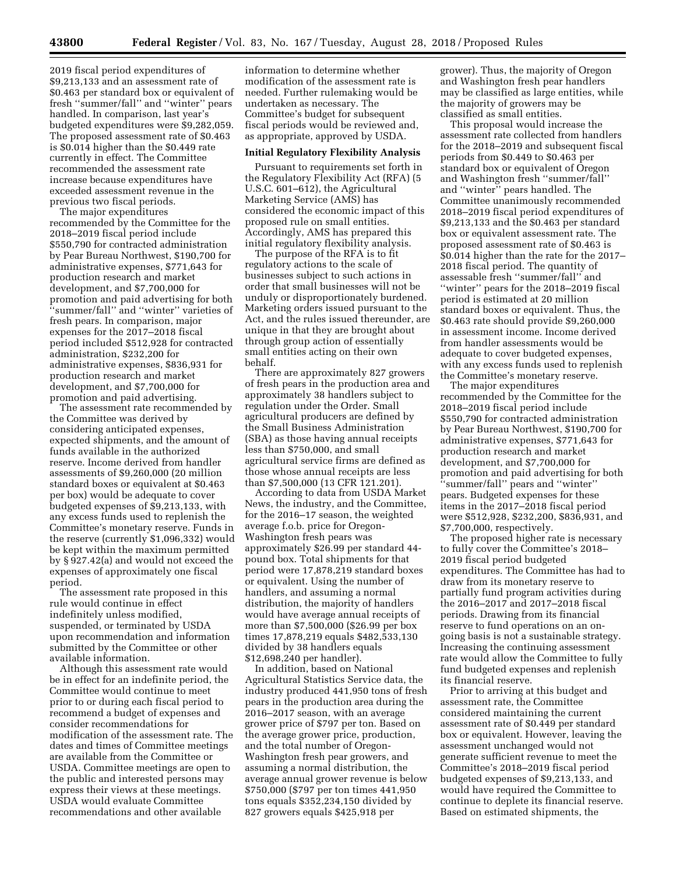2019 fiscal period expenditures of \$9,213,133 and an assessment rate of \$0.463 per standard box or equivalent of fresh ''summer/fall'' and ''winter'' pears handled. In comparison, last year's budgeted expenditures were \$9,282,059. The proposed assessment rate of \$0.463 is \$0.014 higher than the \$0.449 rate currently in effect. The Committee recommended the assessment rate increase because expenditures have exceeded assessment revenue in the previous two fiscal periods.

The major expenditures recommended by the Committee for the 2018–2019 fiscal period include \$550,790 for contracted administration by Pear Bureau Northwest, \$190,700 for administrative expenses, \$771,643 for production research and market development, and \$7,700,000 for promotion and paid advertising for both ''summer/fall'' and ''winter'' varieties of fresh pears. In comparison, major expenses for the 2017–2018 fiscal period included \$512,928 for contracted administration, \$232,200 for administrative expenses, \$836,931 for production research and market development, and \$7,700,000 for promotion and paid advertising.

The assessment rate recommended by the Committee was derived by considering anticipated expenses, expected shipments, and the amount of funds available in the authorized reserve. Income derived from handler assessments of \$9,260,000 (20 million standard boxes or equivalent at \$0.463 per box) would be adequate to cover budgeted expenses of \$9,213,133, with any excess funds used to replenish the Committee's monetary reserve. Funds in the reserve (currently \$1,096,332) would be kept within the maximum permitted by § 927.42(a) and would not exceed the expenses of approximately one fiscal period.

The assessment rate proposed in this rule would continue in effect indefinitely unless modified, suspended, or terminated by USDA upon recommendation and information submitted by the Committee or other available information.

Although this assessment rate would be in effect for an indefinite period, the Committee would continue to meet prior to or during each fiscal period to recommend a budget of expenses and consider recommendations for modification of the assessment rate. The dates and times of Committee meetings are available from the Committee or USDA. Committee meetings are open to the public and interested persons may express their views at these meetings. USDA would evaluate Committee recommendations and other available

information to determine whether modification of the assessment rate is needed. Further rulemaking would be undertaken as necessary. The Committee's budget for subsequent fiscal periods would be reviewed and, as appropriate, approved by USDA.

# **Initial Regulatory Flexibility Analysis**

Pursuant to requirements set forth in the Regulatory Flexibility Act (RFA) (5 U.S.C. 601–612), the Agricultural Marketing Service (AMS) has considered the economic impact of this proposed rule on small entities. Accordingly, AMS has prepared this initial regulatory flexibility analysis.

The purpose of the RFA is to fit regulatory actions to the scale of businesses subject to such actions in order that small businesses will not be unduly or disproportionately burdened. Marketing orders issued pursuant to the Act, and the rules issued thereunder, are unique in that they are brought about through group action of essentially small entities acting on their own behalf.

There are approximately 827 growers of fresh pears in the production area and approximately 38 handlers subject to regulation under the Order. Small agricultural producers are defined by the Small Business Administration (SBA) as those having annual receipts less than \$750,000, and small agricultural service firms are defined as those whose annual receipts are less than \$7,500,000 (13 CFR 121.201).

According to data from USDA Market News, the industry, and the Committee, for the 2016–17 season, the weighted average f.o.b. price for Oregon-Washington fresh pears was approximately \$26.99 per standard 44 pound box. Total shipments for that period were 17,878,219 standard boxes or equivalent. Using the number of handlers, and assuming a normal distribution, the majority of handlers would have average annual receipts of more than \$7,500,000 (\$26.99 per box times 17,878,219 equals \$482,533,130 divided by 38 handlers equals \$12,698,240 per handler).

In addition, based on National Agricultural Statistics Service data, the industry produced 441,950 tons of fresh pears in the production area during the 2016–2017 season, with an average grower price of \$797 per ton. Based on the average grower price, production, and the total number of Oregon-Washington fresh pear growers, and assuming a normal distribution, the average annual grower revenue is below \$750,000 (\$797 per ton times 441,950 tons equals \$352,234,150 divided by 827 growers equals \$425,918 per

grower). Thus, the majority of Oregon and Washington fresh pear handlers may be classified as large entities, while the majority of growers may be classified as small entities.

This proposal would increase the assessment rate collected from handlers for the 2018–2019 and subsequent fiscal periods from \$0.449 to \$0.463 per standard box or equivalent of Oregon and Washington fresh ''summer/fall'' and ''winter'' pears handled. The Committee unanimously recommended 2018–2019 fiscal period expenditures of \$9,213,133 and the \$0.463 per standard box or equivalent assessment rate. The proposed assessment rate of \$0.463 is \$0.014 higher than the rate for the 2017– 2018 fiscal period. The quantity of assessable fresh ''summer/fall'' and ''winter'' pears for the 2018–2019 fiscal period is estimated at 20 million standard boxes or equivalent. Thus, the \$0.463 rate should provide \$9,260,000 in assessment income. Income derived from handler assessments would be adequate to cover budgeted expenses, with any excess funds used to replenish the Committee's monetary reserve.

The major expenditures recommended by the Committee for the 2018–2019 fiscal period include \$550,790 for contracted administration by Pear Bureau Northwest, \$190,700 for administrative expenses, \$771,643 for production research and market development, and \$7,700,000 for promotion and paid advertising for both ''summer/fall'' pears and ''winter'' pears. Budgeted expenses for these items in the 2017–2018 fiscal period were \$512,928, \$232,200, \$836,931, and \$7,700,000, respectively.

The proposed higher rate is necessary to fully cover the Committee's 2018– 2019 fiscal period budgeted expenditures. The Committee has had to draw from its monetary reserve to partially fund program activities during the 2016–2017 and 2017–2018 fiscal periods. Drawing from its financial reserve to fund operations on an ongoing basis is not a sustainable strategy. Increasing the continuing assessment rate would allow the Committee to fully fund budgeted expenses and replenish its financial reserve.

Prior to arriving at this budget and assessment rate, the Committee considered maintaining the current assessment rate of \$0.449 per standard box or equivalent. However, leaving the assessment unchanged would not generate sufficient revenue to meet the Committee's 2018–2019 fiscal period budgeted expenses of \$9,213,133, and would have required the Committee to continue to deplete its financial reserve. Based on estimated shipments, the